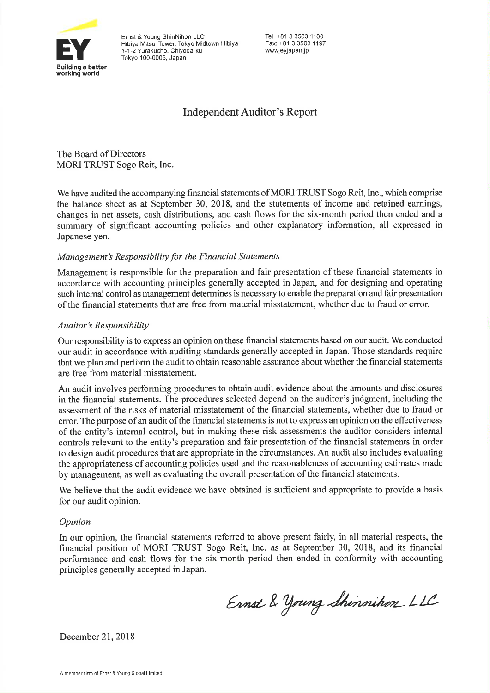

Ernst & Young ShinNihon LLC Hibiya Mitsui Tower, Tokyo Midtown Hibiya 1-1-2 Yurakucho, Chiyoda-ku Tokyo 100-0006, Japan

Tel: +81 3 3503 1100 Fax: +81 3 3503 1197 www.eyjapan.jp

# Independent Auditor's Report

The Board of Directors MORI TRUST Sogo Reit, Inc.

We have audited the accompanying financial statements of MORI TRUST Sogo Reit, Inc., which comprise the balance sheet as at September 30, 2018, and the statements of income and retained earnings, changes in net assets, cash distributions, and cash flows for the six-month period then ended and a summary of significant accounting policies and other explanatory information, all expressed in Japanese yen.

# Management's Responsibility for the Financial Statements

Management is responsible for the preparation and fair presentation of these financial statements in accordance with accounting principles generally accepted in Japan, and for designing and operating such internal control as management determines is necessary to enable the preparation and fair presentation of the financial statements that are free from material misstatement, whether due to fraud or error.

# **Auditor's Responsibility**

Our responsibility is to express an opinion on these financial statements based on our audit. We conducted our audit in accordance with auditing standards generally accepted in Japan. Those standards require that we plan and perform the audit to obtain reasonable assurance about whether the financial statements are free from material misstatement.

An audit involves performing procedures to obtain audit evidence about the amounts and disclosures in the financial statements. The procedures selected depend on the auditor's judgment, including the assessment of the risks of material misstatement of the financial statements, whether due to fraud or error. The purpose of an audit of the financial statements is not to express an opinion on the effectiveness of the entity's internal control, but in making these risk assessments the auditor considers internal controls relevant to the entity's preparation and fair presentation of the financial statements in order to design audit procedures that are appropriate in the circumstances. An audit also includes evaluating the appropriateness of accounting policies used and the reasonableness of accounting estimates made by management, as well as evaluating the overall presentation of the financial statements.

We believe that the audit evidence we have obtained is sufficient and appropriate to provide a basis for our audit opinion.

# Opinion

In our opinion, the financial statements referred to above present fairly, in all material respects, the financial position of MORI TRUST Sogo Reit, Inc. as at September 30, 2018, and its financial performance and cash flows for the six-month period then ended in conformity with accounting principles generally accepted in Japan.

Ernst & Young Shinnihon LLC

December 21, 2018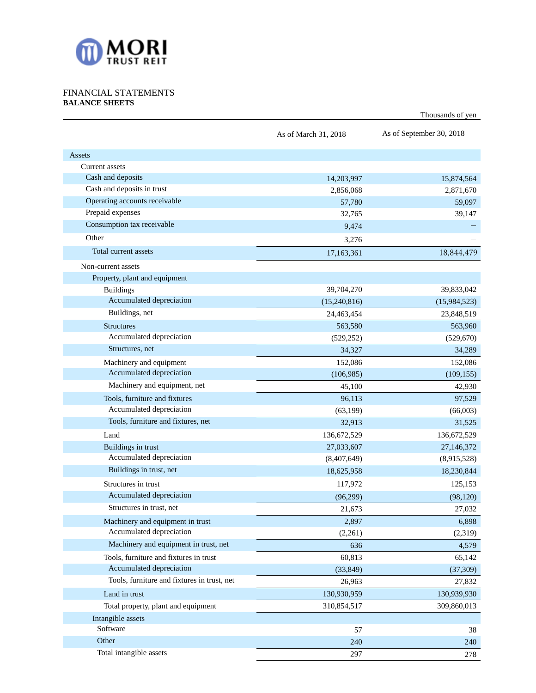

# FINANCIAL STATEMENTS **BALANCE SHEETS**

|                                             |                      | Thousands of yen         |
|---------------------------------------------|----------------------|--------------------------|
|                                             | As of March 31, 2018 | As of September 30, 2018 |
| Assets                                      |                      |                          |
| Current assets                              |                      |                          |
| Cash and deposits                           | 14,203,997           | 15,874,564               |
| Cash and deposits in trust                  | 2,856,068            | 2,871,670                |
| Operating accounts receivable               | 57,780               | 59,097                   |
| Prepaid expenses                            | 32,765               | 39,147                   |
| Consumption tax receivable                  | 9,474                |                          |
| Other                                       | 3,276                |                          |
| Total current assets                        | 17,163,361           | 18,844,479               |
| Non-current assets                          |                      |                          |
| Property, plant and equipment               |                      |                          |
| <b>Buildings</b>                            | 39,704,270           | 39,833,042               |
| Accumulated depreciation                    | (15,240,816)         | (15,984,523)             |
| Buildings, net                              | 24,463,454           | 23,848,519               |
| <b>Structures</b>                           | 563,580              | 563,960                  |
| Accumulated depreciation                    | (529, 252)           | (529, 670)               |
| Structures, net                             | 34,327               | 34,289                   |
| Machinery and equipment                     | 152,086              | 152,086                  |
| Accumulated depreciation                    | (106,985)            | (109, 155)               |
| Machinery and equipment, net                | 45,100               | 42,930                   |
| Tools, furniture and fixtures               | 96,113               | 97,529                   |
| Accumulated depreciation                    | (63, 199)            | (66,003)                 |
| Tools, furniture and fixtures, net          | 32,913               | 31,525                   |
| Land                                        | 136,672,529          | 136,672,529              |
| Buildings in trust                          | 27,033,607           | 27,146,372               |
| Accumulated depreciation                    | (8,407,649)          | (8,915,528)              |
| Buildings in trust, net                     | 18,625,958           | 18,230,844               |
| Structures in trust                         | 117,972              | 125,153                  |
| Accumulated depreciation                    | (96,299)             | (98, 120)                |
| Structures in trust, net                    | 21,673               | 27,032                   |
| Machinery and equipment in trust            | 2,897                | 6,898                    |
| Accumulated depreciation                    | (2,261)              | (2,319)                  |
| Machinery and equipment in trust, net       | 636                  | 4,579                    |
| Tools, furniture and fixtures in trust      | 60,813               | 65,142                   |
| Accumulated depreciation                    | (33, 849)            | (37, 309)                |
| Tools, furniture and fixtures in trust, net | 26,963               | 27,832                   |
| Land in trust                               | 130,930,959          | 130,939,930              |
| Total property, plant and equipment         | 310,854,517          | 309,860,013              |
| Intangible assets                           |                      |                          |
| Software                                    | 57                   | 38                       |
| Other                                       | 240                  | 240                      |
| Total intangible assets                     | 297                  | 278                      |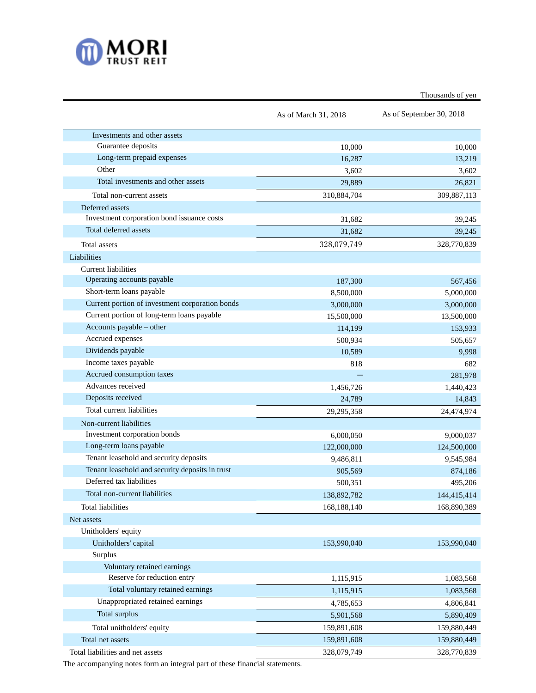

# Thousands of yen

|                                                 | As of March 31, 2018 | As of September 30, 2018 |
|-------------------------------------------------|----------------------|--------------------------|
| Investments and other assets                    |                      |                          |
| Guarantee deposits                              | 10,000               | 10,000                   |
| Long-term prepaid expenses                      | 16,287               | 13,219                   |
| Other                                           | 3,602                | 3,602                    |
| Total investments and other assets              | 29,889               | 26,821                   |
| Total non-current assets                        | 310,884,704          | 309,887,113              |
| Deferred assets                                 |                      |                          |
| Investment corporation bond issuance costs      | 31,682               | 39,245                   |
| Total deferred assets                           | 31,682               | 39,245                   |
| Total assets                                    | 328,079,749          | 328,770,839              |
| Liabilities                                     |                      |                          |
| <b>Current liabilities</b>                      |                      |                          |
| Operating accounts payable                      | 187,300              | 567,456                  |
| Short-term loans payable                        | 8,500,000            | 5,000,000                |
| Current portion of investment corporation bonds | 3,000,000            | 3,000,000                |
| Current portion of long-term loans payable      | 15,500,000           | 13,500,000               |
| Accounts payable – other                        | 114,199              | 153,933                  |
| Accrued expenses                                | 500,934              | 505,657                  |
| Dividends payable                               | 10,589               | 9,998                    |
| Income taxes payable                            | 818                  | 682                      |
| Accrued consumption taxes                       |                      | 281,978                  |
| Advances received                               | 1,456,726            | 1,440,423                |
| Deposits received                               | 24,789               | 14,843                   |
| Total current liabilities                       | 29,295,358           | 24,474,974               |
| Non-current liabilities                         |                      |                          |
| Investment corporation bonds                    | 6,000,050            | 9,000,037                |
| Long-term loans payable                         | 122,000,000          | 124,500,000              |
| Tenant leasehold and security deposits          | 9,486,811            | 9,545,984                |
| Tenant leasehold and security deposits in trust | 905,569              | 874,186                  |
| Deferred tax liabilities                        | 500,351              | 495,206                  |
| Total non-current liabilities                   | 138,892,782          | 144,415,414              |
| <b>Total liabilities</b>                        | 168,188,140          | 168,890,389              |
| Net assets                                      |                      |                          |
| Unitholders' equity                             |                      |                          |
| Unitholders' capital                            | 153,990,040          | 153,990,040              |
| <b>Surplus</b>                                  |                      |                          |
| Voluntary retained earnings                     |                      |                          |
| Reserve for reduction entry                     | 1,115,915            | 1,083,568                |
| Total voluntary retained earnings               | 1,115,915            | 1,083,568                |
| Unappropriated retained earnings                | 4,785,653            | 4,806,841                |
| Total surplus                                   | 5,901,568            | 5,890,409                |
| Total unitholders' equity                       | 159,891,608          | 159,880,449              |
| Total net assets                                | 159,891,608          | 159,880,449              |
| Total liabilities and net assets                | 328,079,749          | 328,770,839              |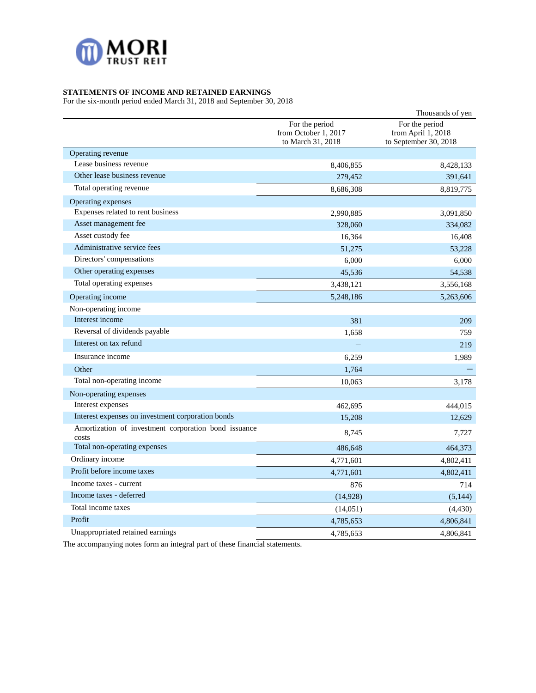

# **STATEMENTS OF INCOME AND RETAINED EARNINGS**

For the six-month period ended March 31, 2018 and September 30, 2018

|                                                               |                                                             | Thousands of yen                                              |
|---------------------------------------------------------------|-------------------------------------------------------------|---------------------------------------------------------------|
|                                                               | For the period<br>from October 1, 2017<br>to March 31, 2018 | For the period<br>from April 1, 2018<br>to September 30, 2018 |
| Operating revenue                                             |                                                             |                                                               |
| Lease business revenue                                        | 8,406,855                                                   | 8,428,133                                                     |
| Other lease business revenue                                  | 279,452                                                     | 391,641                                                       |
| Total operating revenue                                       | 8,686,308                                                   | 8,819,775                                                     |
| Operating expenses                                            |                                                             |                                                               |
| Expenses related to rent business                             | 2,990,885                                                   | 3,091,850                                                     |
| Asset management fee                                          | 328,060                                                     | 334,082                                                       |
| Asset custody fee                                             | 16,364                                                      | 16,408                                                        |
| Administrative service fees                                   | 51,275                                                      | 53,228                                                        |
| Directors' compensations                                      | 6,000                                                       | 6,000                                                         |
| Other operating expenses                                      | 45,536                                                      | 54,538                                                        |
| Total operating expenses                                      | 3,438,121                                                   | 3,556,168                                                     |
| Operating income                                              | 5,248,186                                                   | 5,263,606                                                     |
| Non-operating income                                          |                                                             |                                                               |
| Interest income                                               | 381                                                         | 209                                                           |
| Reversal of dividends payable                                 | 1,658                                                       | 759                                                           |
| Interest on tax refund                                        |                                                             | 219                                                           |
| Insurance income                                              | 6,259                                                       | 1,989                                                         |
| Other                                                         | 1,764                                                       |                                                               |
| Total non-operating income                                    | 10,063                                                      | 3,178                                                         |
| Non-operating expenses                                        |                                                             |                                                               |
| Interest expenses                                             | 462,695                                                     | 444,015                                                       |
| Interest expenses on investment corporation bonds             | 15,208                                                      | 12,629                                                        |
| Amortization of investment corporation bond issuance<br>costs | 8,745                                                       | 7,727                                                         |
| Total non-operating expenses                                  | 486,648                                                     | 464,373                                                       |
| Ordinary income                                               | 4,771,601                                                   | 4,802,411                                                     |
| Profit before income taxes                                    | 4,771,601                                                   | 4,802,411                                                     |
| Income taxes - current                                        | 876                                                         | 714                                                           |
| Income taxes - deferred                                       | (14, 928)                                                   | (5,144)                                                       |
| Total income taxes                                            | (14, 051)                                                   | (4,430)                                                       |
| Profit                                                        | 4,785,653                                                   | 4,806,841                                                     |
| Unappropriated retained earnings                              | 4,785,653                                                   | 4,806,841                                                     |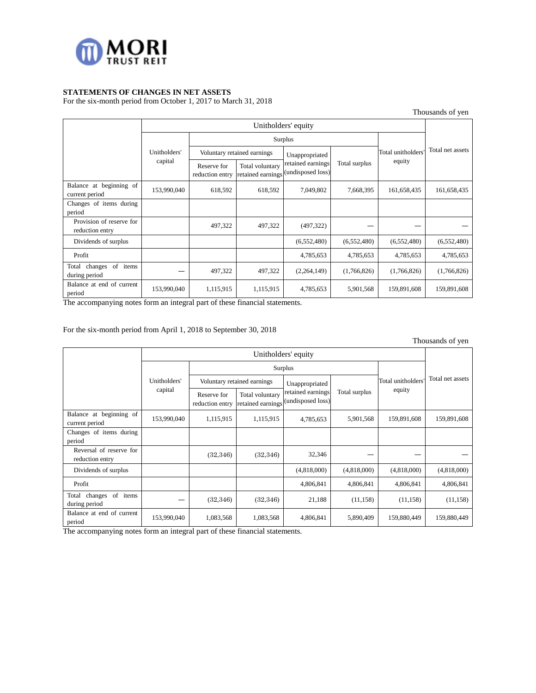

# **STATEMENTS OF CHANGES IN NET ASSETS**

For the six-month period from October 1, 2017 to March 31, 2018

Thousands of yen

| Unitholders' equity                         |              |                                |                                      |                                        |               |                  |             |
|---------------------------------------------|--------------|--------------------------------|--------------------------------------|----------------------------------------|---------------|------------------|-------------|
|                                             |              |                                | Surplus                              |                                        |               | Total net assets |             |
|                                             | Unitholders' | Voluntary retained earnings    |                                      | Unappropriated                         |               |                  |             |
|                                             | capital      | Reserve for<br>reduction entry | Total voluntary<br>retained earnings | retained earnings<br>(undisposed loss) | Total surplus | equity           |             |
| Balance at beginning of<br>current period   | 153,990,040  | 618,592                        | 618,592                              | 7,049,802                              | 7,668,395     | 161,658,435      | 161,658,435 |
| Changes of items during<br>period           |              |                                |                                      |                                        |               |                  |             |
| Provision of reserve for<br>reduction entry |              | 497,322                        | 497,322                              | (497, 322)                             |               |                  |             |
| Dividends of surplus                        |              |                                |                                      | (6,552,480)                            | (6,552,480)   | (6,552,480)      | (6,552,480) |
| Profit                                      |              |                                |                                      | 4,785,653                              | 4,785,653     | 4,785,653        | 4,785,653   |
| Total changes of<br>items<br>during period  |              | 497,322                        | 497,322                              | (2,264,149)                            | (1,766,826)   | (1,766,826)      | (1,766,826) |
| Balance at end of current<br>period         | 153,990,040  | 1,115,915                      | 1,115,915                            | 4,785,653                              | 5,901,568     | 159,891,608      | 159,891,608 |

The accompanying notes form an integral part of these financial statements.

For the six-month period from April 1, 2018 to September 30, 2018

| Thousands of yen                              |              |                                |                                                              |                                        |               |                   |                  |  |
|-----------------------------------------------|--------------|--------------------------------|--------------------------------------------------------------|----------------------------------------|---------------|-------------------|------------------|--|
|                                               |              |                                |                                                              | Unitholders' equity                    |               |                   |                  |  |
|                                               |              |                                |                                                              | Surplus                                |               |                   |                  |  |
|                                               | Unitholders' |                                | Voluntary retained earnings                                  | Unappropriated                         |               | Total unitholders | Total net assets |  |
|                                               | capital      | Reserve for<br>reduction entry | Total voluntary<br>retained earnings                         | retained earnings<br>(undisposed loss) | Total surplus | equity            |                  |  |
| Balance at beginning of<br>current period     | 153,990,040  | 1,115,915                      | 1,115,915                                                    | 4,785,653                              | 5,901,568     | 159,891,608       | 159,891,608      |  |
| Changes of items during<br>period             |              |                                |                                                              |                                        |               |                   |                  |  |
| Reversal of reserve for<br>reduction entry    |              | (32, 346)                      | (32, 346)                                                    | 32,346                                 |               |                   |                  |  |
| Dividends of surplus                          |              |                                |                                                              | (4,818,000)                            | (4,818,000)   | (4,818,000)       | (4,818,000)      |  |
| Profit                                        |              |                                |                                                              | 4,806,841                              | 4,806,841     | 4,806,841         | 4,806,841        |  |
| of<br>Total changes<br>items<br>during period |              | (32, 346)                      | (32, 346)                                                    | 21,188                                 | (11, 158)     | (11, 158)         | (11, 158)        |  |
| Balance at end of current<br>period           | 153,990,040  | 1,083,568                      | 1,083,568                                                    | 4,806,841                              | 5,890,409     | 159,880,449       | 159,880,449      |  |
| PL - -------                                  |              |                                | die steden familier betrachten bestieften für der betrachten |                                        |               |                   |                  |  |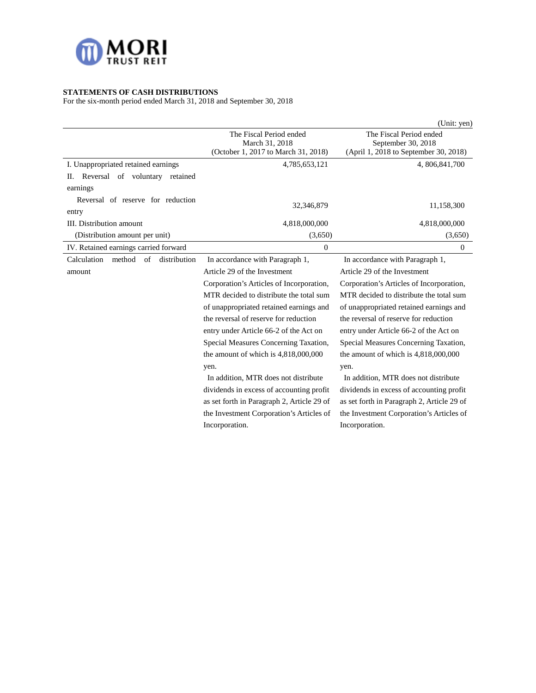

# **STATEMENTS OF CASH DISTRIBUTIONS**

For the six-month period ended March 31, 2018 and September 30, 2018

|                                                     |                                            | (Unit: yen)                                |  |
|-----------------------------------------------------|--------------------------------------------|--------------------------------------------|--|
|                                                     | The Fiscal Period ended                    | The Fiscal Period ended                    |  |
|                                                     | March 31, 2018                             | September 30, 2018                         |  |
|                                                     | (October 1, 2017 to March 31, 2018)        | (April 1, 2018 to September 30, 2018)      |  |
| I. Unappropriated retained earnings                 | 4,785,653,121                              | 4, 806, 841, 700                           |  |
| Reversal of voluntary retained<br>П.                |                                            |                                            |  |
| earnings                                            |                                            |                                            |  |
| Reversal of reserve for reduction                   |                                            |                                            |  |
| entry                                               | 32,346,879                                 | 11,158,300                                 |  |
| III. Distribution amount                            | 4,818,000,000                              | 4,818,000,000                              |  |
| (Distribution amount per unit)                      | (3,650)                                    | (3,650)                                    |  |
| IV. Retained earnings carried forward               | $\Omega$                                   | $\Omega$                                   |  |
| Calculation<br>method<br>$\sigma$ f<br>distribution | In accordance with Paragraph 1,            | In accordance with Paragraph 1,            |  |
| amount                                              | Article 29 of the Investment               | Article 29 of the Investment               |  |
|                                                     | Corporation's Articles of Incorporation,   | Corporation's Articles of Incorporation,   |  |
|                                                     | MTR decided to distribute the total sum    | MTR decided to distribute the total sum    |  |
|                                                     | of unappropriated retained earnings and    | of unappropriated retained earnings and    |  |
|                                                     | the reversal of reserve for reduction      | the reversal of reserve for reduction      |  |
|                                                     | entry under Article 66-2 of the Act on     | entry under Article 66-2 of the Act on     |  |
|                                                     | Special Measures Concerning Taxation,      | Special Measures Concerning Taxation,      |  |
|                                                     | the amount of which is 4,818,000,000       | the amount of which is 4,818,000,000       |  |
|                                                     | yen.                                       | yen.                                       |  |
|                                                     | In addition, MTR does not distribute       | In addition, MTR does not distribute       |  |
|                                                     | dividends in excess of accounting profit   | dividends in excess of accounting profit   |  |
|                                                     | as set forth in Paragraph 2, Article 29 of | as set forth in Paragraph 2, Article 29 of |  |
|                                                     | the Investment Corporation's Articles of   | the Investment Corporation's Articles of   |  |
|                                                     | Incorporation.<br>Incorporation.           |                                            |  |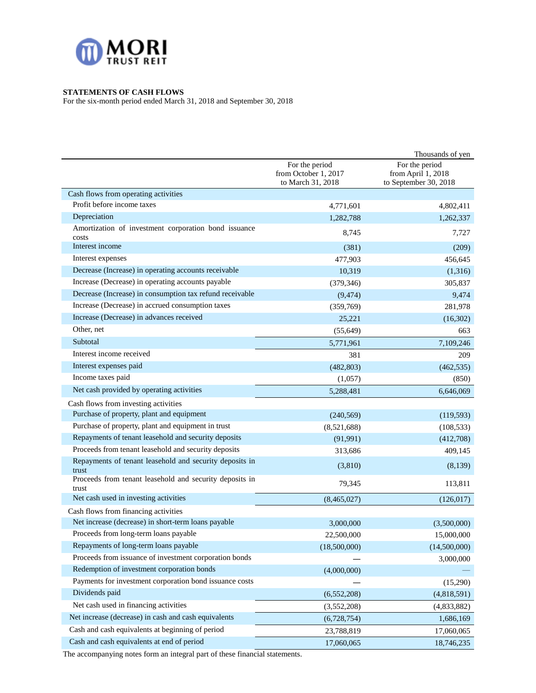

# **STATEMENTS OF CASH FLOWS**

For the six-month period ended March 31, 2018 and September 30, 2018

|                                                                  |                                                             | Thousands of yen                                              |
|------------------------------------------------------------------|-------------------------------------------------------------|---------------------------------------------------------------|
|                                                                  | For the period<br>from October 1, 2017<br>to March 31, 2018 | For the period<br>from April 1, 2018<br>to September 30, 2018 |
| Cash flows from operating activities                             |                                                             |                                                               |
| Profit before income taxes                                       | 4,771,601                                                   | 4,802,411                                                     |
| Depreciation                                                     | 1,282,788                                                   | 1,262,337                                                     |
| Amortization of investment corporation bond issuance<br>costs    | 8,745                                                       | 7,727                                                         |
| Interest income                                                  | (381)                                                       | (209)                                                         |
| Interest expenses                                                | 477,903                                                     | 456,645                                                       |
| Decrease (Increase) in operating accounts receivable             | 10,319                                                      | (1,316)                                                       |
| Increase (Decrease) in operating accounts payable                | (379, 346)                                                  | 305,837                                                       |
| Decrease (Increase) in consumption tax refund receivable         | (9, 474)                                                    | 9,474                                                         |
| Increase (Decrease) in accrued consumption taxes                 | (359,769)                                                   | 281,978                                                       |
| Increase (Decrease) in advances received                         | 25,221                                                      | (16, 302)                                                     |
| Other, net                                                       | (55, 649)                                                   | 663                                                           |
| Subtotal                                                         | 5,771,961                                                   | 7,109,246                                                     |
| Interest income received                                         | 381                                                         | 209                                                           |
| Interest expenses paid                                           | (482, 803)                                                  | (462, 535)                                                    |
| Income taxes paid                                                | (1,057)                                                     | (850)                                                         |
| Net cash provided by operating activities                        | 5,288,481                                                   | 6,646,069                                                     |
| Cash flows from investing activities                             |                                                             |                                                               |
| Purchase of property, plant and equipment                        | (240, 569)                                                  | (119, 593)                                                    |
| Purchase of property, plant and equipment in trust               | (8,521,688)                                                 | (108, 533)                                                    |
| Repayments of tenant leasehold and security deposits             | (91, 991)                                                   | (412,708)                                                     |
| Proceeds from tenant leasehold and security deposits             | 313,686                                                     | 409,145                                                       |
| Repayments of tenant leasehold and security deposits in<br>trust | (3,810)                                                     | (8,139)                                                       |
| Proceeds from tenant leasehold and security deposits in<br>trust | 79,345                                                      | 113,811                                                       |
| Net cash used in investing activities                            | (8,465,027)                                                 | (126, 017)                                                    |
| Cash flows from financing activities                             |                                                             |                                                               |
| Net increase (decrease) in short-term loans payable              | 3,000,000                                                   | (3,500,000)                                                   |
| Proceeds from long-term loans payable                            | 22,500,000                                                  | 15,000,000                                                    |
| Repayments of long-term loans payable                            | (18,500,000)                                                | (14,500,000)                                                  |
| Proceeds from issuance of investment corporation bonds           |                                                             | 3,000,000                                                     |
| Redemption of investment corporation bonds                       | (4,000,000)                                                 |                                                               |
| Payments for investment corporation bond issuance costs          |                                                             | (15,290)                                                      |
| Dividends paid                                                   | (6, 552, 208)                                               | (4,818,591)                                                   |
| Net cash used in financing activities                            | (3,552,208)                                                 | (4,833,882)                                                   |
| Net increase (decrease) in cash and cash equivalents             | (6,728,754)                                                 | 1,686,169                                                     |
| Cash and cash equivalents at beginning of period                 | 23,788,819                                                  | 17,060,065                                                    |
| Cash and cash equivalents at end of period                       | 17,060,065                                                  | 18,746,235                                                    |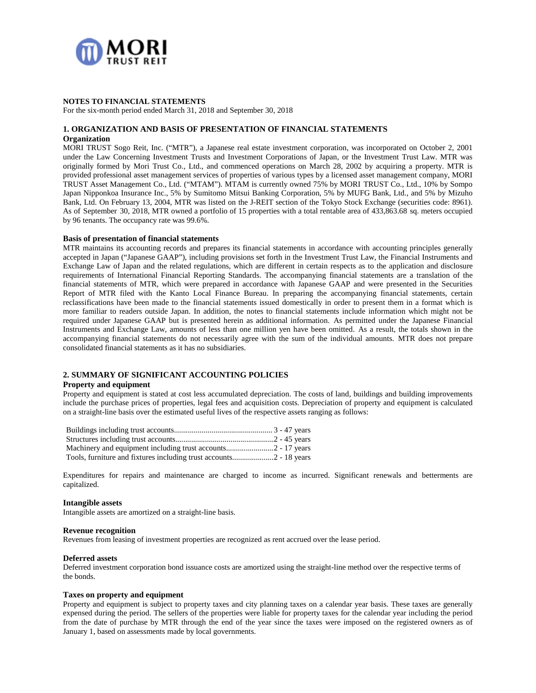

## **NOTES TO FINANCIAL STATEMENTS**

For the six-month period ended March 31, 2018 and September 30, 2018

# **1. ORGANIZATION AND BASIS OF PRESENTATION OF FINANCIAL STATEMENTS**

# **Organization**

MORI TRUST Sogo Reit, Inc. ("MTR"), a Japanese real estate investment corporation, was incorporated on October 2, 2001 under the Law Concerning Investment Trusts and Investment Corporations of Japan, or the Investment Trust Law. MTR was originally formed by Mori Trust Co., Ltd., and commenced operations on March 28, 2002 by acquiring a property. MTR is provided professional asset management services of properties of various types by a licensed asset management company, MORI TRUST Asset Management Co., Ltd. ("MTAM"). MTAM is currently owned 75% by MORI TRUST Co., Ltd., 10% by Sompo Japan Nipponkoa Insurance Inc., 5% by Sumitomo Mitsui Banking Corporation, 5% by MUFG Bank, Ltd., and 5% by Mizuho Bank, Ltd. On February 13, 2004, MTR was listed on the J-REIT section of the Tokyo Stock Exchange (securities code: 8961). As of September 30, 2018, MTR owned a portfolio of 15 properties with a total rentable area of 433,863.68 sq. meters occupied by 96 tenants. The occupancy rate was 99.6%.

## **Basis of presentation of financial statements**

MTR maintains its accounting records and prepares its financial statements in accordance with accounting principles generally accepted in Japan ("Japanese GAAP"), including provisions set forth in the Investment Trust Law, the Financial Instruments and Exchange Law of Japan and the related regulations, which are different in certain respects as to the application and disclosure requirements of International Financial Reporting Standards. The accompanying financial statements are a translation of the financial statements of MTR, which were prepared in accordance with Japanese GAAP and were presented in the Securities Report of MTR filed with the Kanto Local Finance Bureau. In preparing the accompanying financial statements, certain reclassifications have been made to the financial statements issued domestically in order to present them in a format which is more familiar to readers outside Japan. In addition, the notes to financial statements include information which might not be required under Japanese GAAP but is presented herein as additional information. As permitted under the Japanese Financial Instruments and Exchange Law, amounts of less than one million yen have been omitted. As a result, the totals shown in the accompanying financial statements do not necessarily agree with the sum of the individual amounts. MTR does not prepare consolidated financial statements as it has no subsidiaries.

# **2. SUMMARY OF SIGNIFICANT ACCOUNTING POLICIES**

## **Property and equipment**

Property and equipment is stated at cost less accumulated depreciation. The costs of land, buildings and building improvements include the purchase prices of properties, legal fees and acquisition costs. Depreciation of property and equipment is calculated on a straight-line basis over the estimated useful lives of the respective assets ranging as follows:

Expenditures for repairs and maintenance are charged to income as incurred. Significant renewals and betterments are capitalized.

#### **Intangible assets**

Intangible assets are amortized on a straight-line basis.

#### **Revenue recognition**

Revenues from leasing of investment properties are recognized as rent accrued over the lease period.

#### **Deferred assets**

Deferred investment corporation bond issuance costs are amortized using the straight-line method over the respective terms of the bonds.

#### **Taxes on property and equipment**

Property and equipment is subject to property taxes and city planning taxes on a calendar year basis. These taxes are generally expensed during the period. The sellers of the properties were liable for property taxes for the calendar year including the period from the date of purchase by MTR through the end of the year since the taxes were imposed on the registered owners as of January 1, based on assessments made by local governments.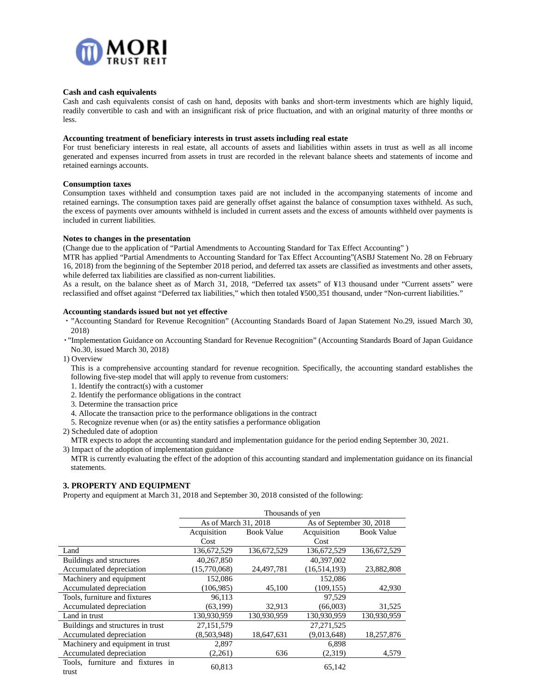

### **Cash and cash equivalents**

Cash and cash equivalents consist of cash on hand, deposits with banks and short-term investments which are highly liquid, readily convertible to cash and with an insignificant risk of price fluctuation, and with an original maturity of three months or less.

#### **Accounting treatment of beneficiary interests in trust assets including real estate**

For trust beneficiary interests in real estate, all accounts of assets and liabilities within assets in trust as well as all income generated and expenses incurred from assets in trust are recorded in the relevant balance sheets and statements of income and retained earnings accounts.

#### **Consumption taxes**

Consumption taxes withheld and consumption taxes paid are not included in the accompanying statements of income and retained earnings. The consumption taxes paid are generally offset against the balance of consumption taxes withheld. As such, the excess of payments over amounts withheld is included in current assets and the excess of amounts withheld over payments is included in current liabilities.

#### **Notes to changes in the presentation**

(Change due to the application of "Partial Amendments to Accounting Standard for Tax Effect Accounting" )

MTR has applied "Partial Amendments to Accounting Standard for Tax Effect Accounting"(ASBJ Statement No. 28 on February 16, 2018) from the beginning of the September 2018 period, and deferred tax assets are classified as investments and other assets, while deferred tax liabilities are classified as non-current liabilities.

As a result, on the balance sheet as of March 31, 2018, "Deferred tax assets" of ¥13 thousand under "Current assets" were reclassified and offset against "Deferred tax liabilities," which then totaled ¥500,351 thousand, under "Non-current liabilities."

#### **Accounting standards issued but not yet effective**

- ・"Accounting Standard for Revenue Recognition" (Accounting Standards Board of Japan Statement No.29, issued March 30, 2018)
- ・"Implementation Guidance on Accounting Standard for Revenue Recognition" (Accounting Standards Board of Japan Guidance No.30, issued March 30, 2018)
- 1) Overview

 This is a comprehensive accounting standard for revenue recognition. Specifically, the accounting standard establishes the following five-step model that will apply to revenue from customers:

- 1. Identify the contract(s) with a customer
- 2. Identify the performance obligations in the contract
- 3. Determine the transaction price
- 4. Allocate the transaction price to the performance obligations in the contract
- 5. Recognize revenue when (or as) the entity satisfies a performance obligation

2) Scheduled date of adoption

- MTR expects to adopt the accounting standard and implementation guidance for the period ending September 30, 2021.
- 3) Impact of the adoption of implementation guidance

 MTR is currently evaluating the effect of the adoption of this accounting standard and implementation guidance on its financial statements.

## **3. PROPERTY AND EQUIPMENT**

Property and equipment at March 31, 2018 and September 30, 2018 consisted of the following:

|                                              | Thousands of yen     |                   |              |                          |  |  |  |
|----------------------------------------------|----------------------|-------------------|--------------|--------------------------|--|--|--|
|                                              | As of March 31, 2018 |                   |              | As of September 30, 2018 |  |  |  |
|                                              | Acquisition          | <b>Book Value</b> | Acquisition  | <b>Book Value</b>        |  |  |  |
|                                              | Cost                 |                   | Cost         |                          |  |  |  |
| Land                                         | 136,672,529          | 136,672,529       | 136,672,529  | 136,672,529              |  |  |  |
| Buildings and structures                     | 40,267,850           |                   | 40,397,002   |                          |  |  |  |
| Accumulated depreciation                     | (15,770,068)         | 24,497,781        | (16,514,193) | 23,882,808               |  |  |  |
| Machinery and equipment                      | 152,086              |                   | 152,086      |                          |  |  |  |
| Accumulated depreciation                     | (106, 985)           | 45,100            | (109, 155)   | 42,930                   |  |  |  |
| Tools, furniture and fixtures                | 96.113               |                   | 97,529       |                          |  |  |  |
| Accumulated depreciation                     | (63, 199)            | 32,913            | (66,003)     | 31,525                   |  |  |  |
| Land in trust                                | 130,930,959          | 130,930,959       | 130,930,959  | 130,930,959              |  |  |  |
| Buildings and structures in trust            | 27,151,579           |                   | 27, 271, 525 |                          |  |  |  |
| Accumulated depreciation                     | (8,503,948)          | 18,647,631        | (9,013,648)  | 18,257,876               |  |  |  |
| Machinery and equipment in trust             | 2,897                |                   | 6,898        |                          |  |  |  |
| Accumulated depreciation                     | (2,261)              | 636               | (2,319)      | 4,579                    |  |  |  |
| Tools, furniture and fixtures<br>1n<br>trust | 60,813               |                   | 65,142       |                          |  |  |  |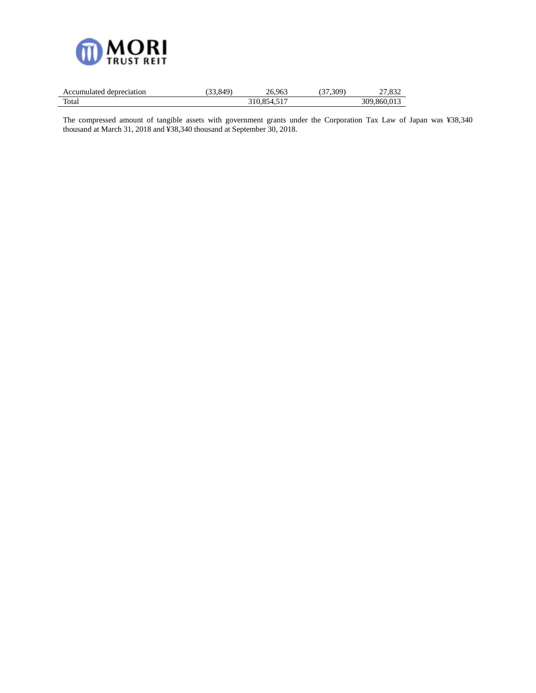

| Accumulated<br>depreciation<br>ÃС | $\sim$<br>849<br>້∼ | .963<br>26.     | $\sim$<br>.309 <sup>°</sup><br>ت | מכס בפ<br>.024   |
|-----------------------------------|---------------------|-----------------|----------------------------------|------------------|
| Total                             |                     | $-1$<br>n.<br>. |                                  | 9.860.013<br>309 |

The compressed amount of tangible assets with government grants under the Corporation Tax Law of Japan was ¥38,340 thousand at March 31, 2018 and ¥38,340 thousand at September 30, 2018.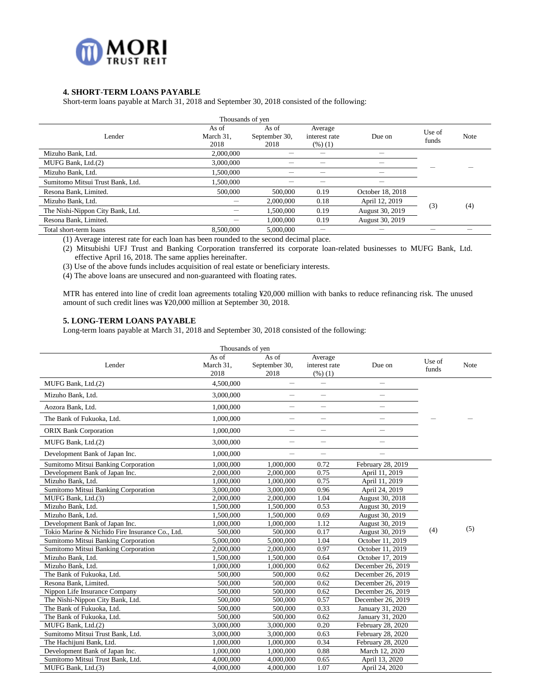

# **4. SHORT**-**TERM LOANS PAYABLE**

Short-term loans payable at March 31, 2018 and September 30, 2018 consisted of the following:

| Thousands of yen                 |                            |                                |                                     |                  |                 |      |  |
|----------------------------------|----------------------------|--------------------------------|-------------------------------------|------------------|-----------------|------|--|
| Lender                           | As of<br>March 31.<br>2018 | As of<br>September 30,<br>2018 | Average<br>interest rate<br>(%) (1) | Due on           | Use of<br>funds | Note |  |
| Mizuho Bank, Ltd.                | 2,000,000                  |                                |                                     |                  |                 |      |  |
| MUFG Bank, Ltd.(2)               | 3,000,000                  |                                |                                     |                  |                 |      |  |
| Mizuho Bank, Ltd.                | 1.500.000                  |                                |                                     |                  |                 |      |  |
| Sumitomo Mitsui Trust Bank, Ltd. | 1.500.000                  |                                |                                     |                  |                 |      |  |
| Resona Bank, Limited.            | 500,000                    | 500,000                        | 0.19                                | October 18, 2018 |                 |      |  |
| Mizuho Bank, Ltd.                |                            | 2,000,000                      | 0.18                                | April 12, 2019   |                 |      |  |
| The Nishi-Nippon City Bank, Ltd. |                            | 1.500.000                      | 0.19                                | August 30, 2019  | (3)             | (4)  |  |
| Resona Bank, Limited.            |                            | 1.000.000                      | 0.19                                | August 30, 2019  |                 |      |  |
| Total short-term loans           | 8,500,000                  | 5,000,000                      |                                     |                  |                 |      |  |

(1) Average interest rate for each loan has been rounded to the second decimal place.

(2) Mitsubishi UFJ Trust and Banking Corporation transferred its corporate loan-related businesses to MUFG Bank, Ltd. effective April 16, 2018. The same applies hereinafter.

(3) Use of the above funds includes acquisition of real estate or beneficiary interests.

(4) The above loans are unsecured and non-guaranteed with floating rates.

MTR has entered into line of credit loan agreements totaling ¥20,000 million with banks to reduce refinancing risk. The unused amount of such credit lines was ¥20,000 million at September 30, 2018.

## **5. LONG**-**TERM LOANS PAYABLE**

Long-term loans payable at March 31, 2018 and September 30, 2018 consisted of the following:

| Thousands of yen                                |                            |                                |                                     |                          |                 |      |  |
|-------------------------------------------------|----------------------------|--------------------------------|-------------------------------------|--------------------------|-----------------|------|--|
| Lender                                          | As of<br>March 31,<br>2018 | As of<br>September 30,<br>2018 | Average<br>interest rate<br>(%) (1) | Due on                   | Use of<br>funds | Note |  |
| MUFG Bank, Ltd.(2)                              | 4,500,000                  | $\overline{\phantom{0}}$       | $\qquad \qquad$                     | $\overline{\phantom{0}}$ |                 |      |  |
| Mizuho Bank, Ltd.                               | 3,000,000                  | $\overline{\phantom{0}}$       | $\overline{\phantom{0}}$            | $\overline{\phantom{0}}$ |                 |      |  |
| Aozora Bank, Ltd.                               | 1.000.000                  | $\qquad \qquad$                | $\qquad \qquad$                     | —                        |                 |      |  |
| The Bank of Fukuoka, Ltd.                       | 1,000,000                  | $\overline{\phantom{0}}$       | $\overline{\phantom{0}}$            | $\overline{\phantom{0}}$ |                 |      |  |
| <b>ORIX Bank Corporation</b>                    | 1.000.000                  | $\overline{\phantom{0}}$       | $\equiv$                            | $\overline{\phantom{0}}$ |                 |      |  |
| MUFG Bank, Ltd.(2)                              | 3,000,000                  | $\overline{\phantom{0}}$       | $\overline{\phantom{0}}$            | $\overline{\phantom{0}}$ |                 |      |  |
| Development Bank of Japan Inc.                  | 1,000,000                  | $\overline{\phantom{0}}$       | $\overline{\phantom{0}}$            | $\overline{\phantom{0}}$ |                 |      |  |
| Sumitomo Mitsui Banking Corporation             | 1,000,000                  | 1,000,000                      | 0.72                                | February 28, 2019        |                 |      |  |
| Development Bank of Japan Inc.                  | 2,000,000                  | 2,000,000                      | 0.75                                | April 11, 2019           |                 |      |  |
| Mizuho Bank, Ltd.                               | 1,000,000                  | 1,000,000                      | 0.75                                | April 11, 2019           |                 |      |  |
| Sumitomo Mitsui Banking Corporation             | 3,000,000                  | 3,000,000                      | 0.96                                | April 24, 2019           |                 |      |  |
| MUFG Bank, Ltd.(3)                              | 2,000,000                  | 2,000,000                      | 1.04                                | August 30, 2018          |                 |      |  |
| Mizuho Bank, Ltd.                               | 1,500,000                  | 1,500,000                      | 0.53                                | August 30, 2019          |                 |      |  |
| Mizuho Bank, Ltd.                               | 1,500,000                  | 1,500,000                      | 0.69                                | August 30, 2019          |                 |      |  |
| Development Bank of Japan Inc.                  | 1,000,000                  | 1,000,000                      | 1.12                                | August 30, 2019          |                 |      |  |
| Tokio Marine & Nichido Fire Insurance Co., Ltd. | 500,000                    | 500,000                        | 0.17                                | August 30, 2019          | (4)             | (5)  |  |
| Sumitomo Mitsui Banking Corporation             | 5,000,000                  | 5,000,000                      | 1.04                                | October 11, 2019         |                 |      |  |
| Sumitomo Mitsui Banking Corporation             | 2,000,000                  | 2,000,000                      | 0.97                                | October 11, 2019         |                 |      |  |
| Mizuho Bank, Ltd.                               | 1,500,000                  | 1,500,000                      | 0.64                                | October 17, 2019         |                 |      |  |
| Mizuho Bank, Ltd.                               | 1,000,000                  | 1,000,000                      | 0.62                                | December 26, 2019        |                 |      |  |
| The Bank of Fukuoka, Ltd.                       | 500,000                    | 500,000                        | 0.62                                | December 26, 2019        |                 |      |  |
| Resona Bank, Limited.                           | 500,000                    | 500,000                        | 0.62                                | December 26, 2019        |                 |      |  |
| Nippon Life Insurance Company                   | 500,000                    | 500,000                        | 0.62                                | December 26, 2019        |                 |      |  |
| The Nishi-Nippon City Bank, Ltd.                | 500,000                    | 500,000                        | 0.57                                | December 26, 2019        |                 |      |  |
| The Bank of Fukuoka, Ltd.                       | 500,000                    | 500,000                        | 0.33                                | January 31, 2020         |                 |      |  |
| The Bank of Fukuoka, Ltd.                       | 500,000                    | 500,000                        | 0.62                                | January 31, 2020         |                 |      |  |
| MUFG Bank, Ltd.(2)                              | 3,000,000                  | 3,000,000                      | 0.20                                | February 28, 2020        |                 |      |  |
| Sumitomo Mitsui Trust Bank, Ltd.                | 3,000,000                  | 3,000,000                      | 0.63                                | February 28, 2020        |                 |      |  |
| The Hachijuni Bank, Ltd.                        | 1,000,000                  | 1,000,000                      | 0.34                                | February 28, 2020        |                 |      |  |
| Development Bank of Japan Inc.                  | 1,000,000                  | 1,000,000                      | 0.88                                | March 12, 2020           |                 |      |  |
| Sumitomo Mitsui Trust Bank, Ltd.                | 4,000,000                  | 4,000,000                      | 0.65                                | April 13, 2020           |                 |      |  |
| MUFG Bank, Ltd.(3)                              | 4,000,000                  | 4,000,000                      | 1.07                                | April 24, 2020           |                 |      |  |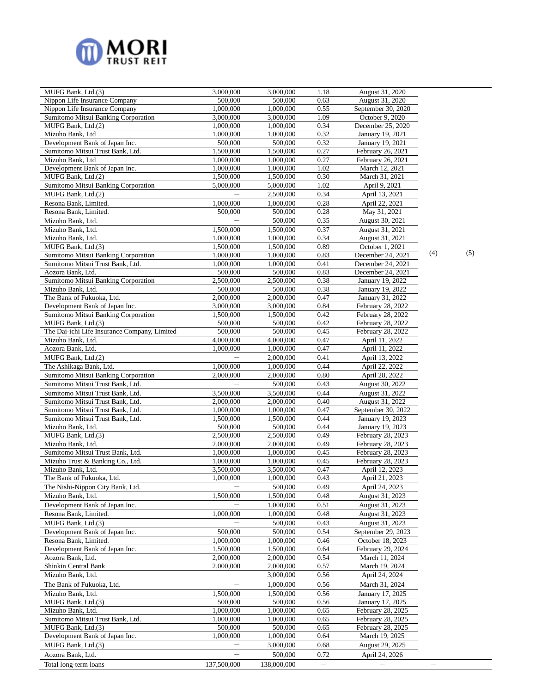

| MUFG Bank, Ltd.(3)                           | 3,000,000 | 3,000,000 | 1.18 | August 31, 2020    |
|----------------------------------------------|-----------|-----------|------|--------------------|
| Nippon Life Insurance Company                | 500,000   | 500,000   | 0.63 | August 31, 2020    |
| Nippon Life Insurance Company                | 1,000,000 | 1,000,000 | 0.55 | September 30, 2020 |
| Sumitomo Mitsui Banking Corporation          | 3,000,000 | 3.000.000 | 1.09 | October 9, 2020    |
| MUFG Bank, Ltd.(2)                           | 1,000,000 | 1,000,000 | 0.34 | December 25, 2020  |
| Mizuho Bank, Ltd                             | 1,000,000 | 1,000,000 | 0.32 | January 19, 2021   |
| Development Bank of Japan Inc.               | 500,000   | 500,000   | 0.32 | January 19, 2021   |
| Sumitomo Mitsui Trust Bank, Ltd.             | 1,500,000 | 1,500,000 | 0.27 | February 26, 2021  |
| Mizuho Bank, Ltd                             | 1,000,000 | 1,000,000 | 0.27 | February 26, 2021  |
| Development Bank of Japan Inc.               | 1,000,000 | 1,000,000 | 1.02 | March 12, 2021     |
| MUFG Bank, Ltd.(2)                           | 1,500,000 | 1,500,000 | 0.30 | March 31, 2021     |
| Sumitomo Mitsui Banking Corporation          | 5,000,000 | 5,000,000 | 1.02 | April 9, 2021      |
|                                              |           |           |      |                    |
| MUFG Bank, Ltd.(2)                           |           | 2,500,000 | 0.34 | April 13, 2021     |
| Resona Bank, Limited.                        | 1,000,000 | 1,000,000 | 0.28 | April 22, 2021     |
| Resona Bank, Limited.                        | 500,000   | 500,000   | 0.28 | May 31, 2021       |
| Mizuho Bank, Ltd.                            |           | 500,000   | 0.35 | August 30, 2021    |
| Mizuho Bank, Ltd.                            | 1,500,000 | 1,500,000 | 0.37 | August 31, 2021    |
| Mizuho Bank, Ltd.                            | 1,000,000 | 1,000,000 | 0.34 | August 31, 2021    |
| MUFG Bank, Ltd.(3)                           | 1,500,000 | 1,500,000 | 0.89 | October 1, 2021    |
| Sumitomo Mitsui Banking Corporation          | 1,000,000 | 1,000,000 | 0.83 | December 24, 2021  |
| Sumitomo Mitsui Trust Bank, Ltd.             | 1,000,000 | 1,000,000 | 0.41 | December 24, 2021  |
| Aozora Bank, Ltd.                            | 500,000   | 500,000   | 0.83 | December 24, 2021  |
| Sumitomo Mitsui Banking Corporation          | 2,500,000 | 2,500,000 | 0.38 | January 19, 2022   |
| Mizuho Bank, Ltd.                            | 500,000   | 500,000   | 0.38 | January 19, 2022   |
| The Bank of Fukuoka, Ltd.                    | 2,000,000 | 2,000,000 | 0.47 | January 31, 2022   |
| Development Bank of Japan Inc.               | 3,000,000 | 3,000,000 | 0.84 | February 28, 2022  |
| Sumitomo Mitsui Banking Corporation          |           |           | 0.42 |                    |
|                                              | 1,500,000 | 1,500,000 |      | February 28, 2022  |
| MUFG Bank, Ltd.(3)                           | 500,000   | 500,000   | 0.42 | February 28, 2022  |
| The Dai-ichi Life Insurance Company, Limited | 500,000   | 500,000   | 0.45 | February 28, 2022  |
| Mizuho Bank, Ltd.                            | 4,000,000 | 4,000,000 | 0.47 | April 11, 2022     |
| Aozora Bank, Ltd.                            | 1,000,000 | 1,000,000 | 0.47 | April 11, 2022     |
| MUFG Bank, Ltd.(2)                           |           | 2,000,000 | 0.41 | April 13, 2022     |
| The Ashikaga Bank, Ltd.                      | 1,000,000 | 1,000,000 | 0.44 | April 22, 2022     |
| Sumitomo Mitsui Banking Corporation          | 2,000,000 | 2,000,000 | 0.80 | April 28, 2022     |
| Sumitomo Mitsui Trust Bank, Ltd.             |           | 500,000   | 0.43 | August 30, 2022    |
| Sumitomo Mitsui Trust Bank, Ltd.             | 3,500,000 | 3,500,000 | 0.44 | August 31, 2022    |
| Sumitomo Mitsui Trust Bank, Ltd.             | 2,000,000 | 2,000,000 | 0.40 | August 31, 2022    |
| Sumitomo Mitsui Trust Bank, Ltd.             | 1,000,000 | 1,000,000 | 0.47 | September 30, 2022 |
| Sumitomo Mitsui Trust Bank, Ltd.             | 1,500,000 | 1,500,000 | 0.44 | January 19, 2023   |
| Mizuho Bank, Ltd.                            | 500,000   | 500,000   | 0.44 | January 19, 2023   |
| MUFG Bank, Ltd.(3)                           | 2,500,000 | 2,500,000 | 0.49 | February 28, 2023  |
|                                              |           |           |      |                    |
| Mizuho Bank, Ltd.                            | 2,000,000 | 2,000,000 | 0.49 | February 28, 2023  |
| Sumitomo Mitsui Trust Bank, Ltd.             | 1,000,000 | 1,000,000 | 0.45 | February 28, 2023  |
| Mizuho Trust & Banking Co., Ltd.             | 1,000,000 | 1,000,000 | 0.45 | February 28, 2023  |
| Mizuho Bank, Ltd.                            | 3,500,000 | 3,500,000 | 0.47 | April 12, 2023     |
| The Bank of Fukuoka, Ltd.                    | 1,000,000 | 1,000,000 | 0.43 | April 21, 2023     |
| The Nishi-Nippon City Bank, Ltd.             |           | 500,000   | 0.49 | April 24, 2023     |
| Mizuho Bank, Ltd.                            | 1,500,000 | 1,500,000 | 0.48 | August 31, 2023    |
| Development Bank of Japan Inc.               |           | 1,000,000 | 0.51 | August 31, 2023    |
| Resona Bank, Limited.                        | 1,000,000 | 1,000,000 | 0.48 | August 31, 2023    |
| MUFG Bank, Ltd.(3)                           |           | 500,000   | 0.43 | August 31, 2023    |
| Development Bank of Japan Inc.               | 500,000   | 500,000   | 0.54 | September 29, 2023 |
|                                              |           |           |      |                    |
| Resona Bank, Limited.                        | 1,000,000 | 1,000,000 | 0.46 | October 18, 2023   |
| Development Bank of Japan Inc.               | 1,500,000 | 1,500,000 | 0.64 | February 29, 2024  |
| Aozora Bank, Ltd.                            | 2,000,000 | 2,000,000 | 0.54 | March 11, 2024     |
| Shinkin Central Bank                         | 2,000,000 | 2,000,000 | 0.57 | March 19, 2024     |
| Mizuho Bank, Ltd.                            |           | 3,000,000 | 0.56 | April 24, 2024     |
| The Bank of Fukuoka, Ltd.                    |           |           | 0.56 | March 31, 2024     |
|                                              |           | 1,000,000 |      |                    |
| Mizuho Bank, Ltd.                            | 1,500,000 | 1,500,000 | 0.56 | January 17, 2025   |
|                                              |           |           |      |                    |
| MUFG Bank, Ltd.(3)                           | 500,000   | 500,000   | 0.56 | January 17, 2025   |
| Mizuho Bank, Ltd.                            | 1,000,000 | 1,000,000 | 0.65 | February 28, 2025  |
| Sumitomo Mitsui Trust Bank, Ltd.             | 1,000,000 | 1,000,000 | 0.65 | February 28, 2025  |
| MUFG Bank, Ltd.(3)                           | 500,000   | 500,000   | 0.65 | February 28, 2025  |
| Development Bank of Japan Inc.               | 1,000,000 | 1,000,000 | 0.64 | March 19, 2025     |
| MUFG Bank, Ltd.(3)                           |           | 3,000,000 | 0.68 | August 29, 2025    |
| Aozora Bank, Ltd.                            |           | 500,000   | 0.72 | April 24, 2026     |

 $(4)$  (5)

-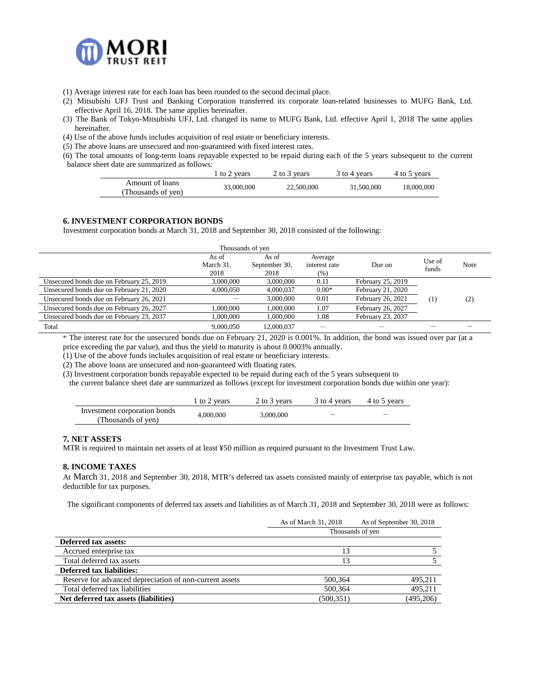

(1) Average interest rate for each loan has been rounded to the second decimal place.

- (2) Mitsubishi UFJ Trust and Banking Corporation transferred its corporate loan-related businesses to MUFG Bank, Ltd. effective April 16, 2018. The same applies hereinafter.
- (3) The Bank of Tokyo-Mitsubishi UFJ, Ltd. changed its name to MUFG Bank, Ltd. effective April 1, 2018 The same applies hereinafter.

(4) Use of the above funds includes acquisition of real estate or beneficiary interests.

(5) The above loans are unsecured and non-guaranteed with fixed interest rates.

(6) The total amounts of long-term loans repayable expected to be repaid during each of the 5 years subsequent to the current balance sheet date are summarized as follows:

|                                       | 1 to 2 vears | 2 to 3 years | 3 to 4 years | 4 to 5 years |
|---------------------------------------|--------------|--------------|--------------|--------------|
| Amount of loans<br>(Thousands of yen) | 33,000,000   | 22,500,000   | 31,500,000   | 18.000.000   |

## **6. INVESTMENT CORPORATION BONDS**

Investment corporation bonds at March 31, 2018 and September 30, 2018 consisted of the following:

|                                          | Thousands of yen           |                                |                                 |                   |                 |      |
|------------------------------------------|----------------------------|--------------------------------|---------------------------------|-------------------|-----------------|------|
|                                          | As of<br>March 31,<br>2018 | As of<br>September 30,<br>2018 | Average<br>interest rate<br>(%) | Due on            | Use of<br>funds | Note |
| Unsecured bonds due on February 25, 2019 | 3,000,000                  | 3,000,000                      | 0.11                            | February 25, 2019 |                 |      |
| Unsecured bonds due on February 21, 2020 | 4,000,050                  | 4,000,037                      | $0.00*$                         | February 21, 2020 |                 |      |
| Unsecured bonds due on February 26, 2021 |                            | 3,000,000                      | 0.01                            | February 26, 2021 | (1)             | (2)  |
| Unsecured bonds due on February 26, 2027 | 1.000.000                  | 1.000.000                      | 1.07                            | February 26, 2027 |                 |      |
| Unsecured bonds due on February 23, 2037 | 1.000.000                  | 1.000.000                      | 1.08                            | February 23, 2037 |                 |      |
| Total                                    | 9.000.050                  | 12.000.037                     |                                 |                   |                 |      |

\* The interest rate for the unsecured bonds due on February 21, 2020 is 0.001%. In addition, the bond was issued over par (at a price exceeding the par value), and thus the yield to maturity is about 0.0003% annually.

(1) Use of the above funds includes acquisition of real estate or beneficiary interests.

(2) The above loans are unsecured and non-guaranteed with floating rates.

(3) Investment corporation bonds repayable expected to be repaid during each of the 5 years subsequent to

the current balance sheet date are summarized as follows (except for investment corporation bonds due within one year):

|                                                    | 1 to 2 years | 2 to 3 years | 3 to 4 years             | 4 to 5 years             |
|----------------------------------------------------|--------------|--------------|--------------------------|--------------------------|
| Investment corporation bonds<br>(Thousands of yen) | 4,000,000    | 3,000,000    | $\overline{\phantom{a}}$ | $\overline{\phantom{a}}$ |

## **7. NET ASSETS**

MTR is required to maintain net assets of at least ¥50 million as required pursuant to the Investment Trust Law.

#### **8. INCOME TAXES**

At March 31, 2018 and September 30, 2018, MTR's deferred tax assets consisted mainly of enterprise tax payable, which is not deductible for tax purposes.

The significant components of deferred tax assets and liabilities as of March 31, 2018 and September 30, 2018 were as follows:

|                                                         | As of March 31, 2018 | As of September 30, 2018 |
|---------------------------------------------------------|----------------------|--------------------------|
|                                                         |                      | Thousands of yen         |
| Deferred tax assets:                                    |                      |                          |
| Accrued enterprise tax                                  | 13                   |                          |
| Total deferred tax assets                               | 13                   |                          |
| <b>Deferred tax liabilities:</b>                        |                      |                          |
| Reserve for advanced depreciation of non-current assets | 500.364              | 495,211                  |
| Total deferred tax liabilities                          | 500.364              | 495,211                  |
| Net deferred tax assets (liabilities)                   | (500, 351)           | (495.206)                |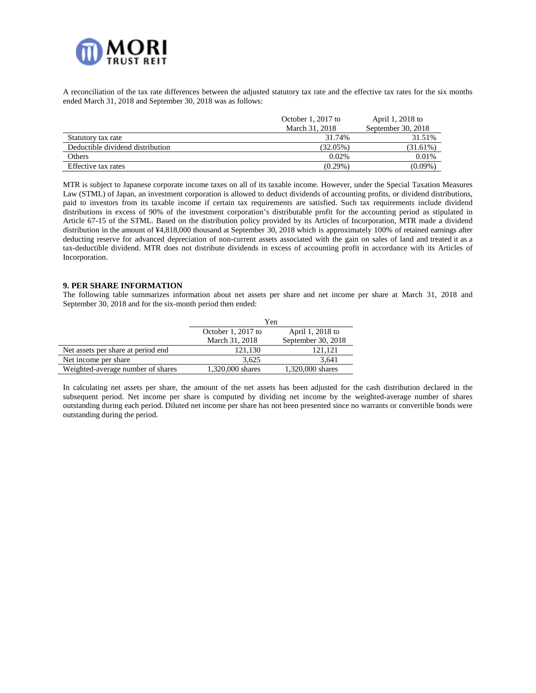

A reconciliation of the tax rate differences between the adjusted statutory tax rate and the effective tax rates for the six months ended March 31, 2018 and September 30, 2018 was as follows:

|                                  | October 1, 2017 to | April 1, 2018 to   |
|----------------------------------|--------------------|--------------------|
|                                  | March 31, 2018     | September 30, 2018 |
| Statutory tax rate               | 31.74%             | 31.51%             |
| Deductible dividend distribution | (32.05%)           | $(31.61\%)$        |
| Others                           | $0.02\%$           | 0.01%              |
| Effective tax rates              | $(0.29\%)$         | $(0.09\%$          |

MTR is subject to Japanese corporate income taxes on all of its taxable income. However, under the Special Taxation Measures Law (STML) of Japan, an investment corporation is allowed to deduct dividends of accounting profits, or dividend distributions, paid to investors from its taxable income if certain tax requirements are satisfied. Such tax requirements include dividend distributions in excess of 90% of the investment corporation's distributable profit for the accounting period as stipulated in Article 67-15 of the STML. Based on the distribution policy provided by its Articles of Incorporation, MTR made a dividend distribution in the amount of ¥4,818,000 thousand at September 30, 2018 which is approximately 100% of retained earnings after deducting reserve for advanced depreciation of non-current assets associated with the gain on sales of land and treated it as a tax-deductible dividend. MTR does not distribute dividends in excess of accounting profit in accordance with its Articles of Incorporation.

## **9. PER SHARE INFORMATION**

The following table summarizes information about net assets per share and net income per share at March 31, 2018 and September 30, 2018 and for the six-month period then ended:

|                                     | Yen                |                    |  |
|-------------------------------------|--------------------|--------------------|--|
|                                     | October 1, 2017 to | April 1, 2018 to   |  |
|                                     | March 31, 2018     | September 30, 2018 |  |
| Net assets per share at period end. | 121.130            | 121.121            |  |
| Net income per share                | 3.625              | 3.641              |  |
| Weighted-average number of shares   | 1,320,000 shares   | 1,320,000 shares   |  |

In calculating net assets per share, the amount of the net assets has been adjusted for the cash distribution declared in the subsequent period. Net income per share is computed by dividing net income by the weighted-average number of shares outstanding during each period. Diluted net income per share has not been presented since no warrants or convertible bonds were outstanding during the period.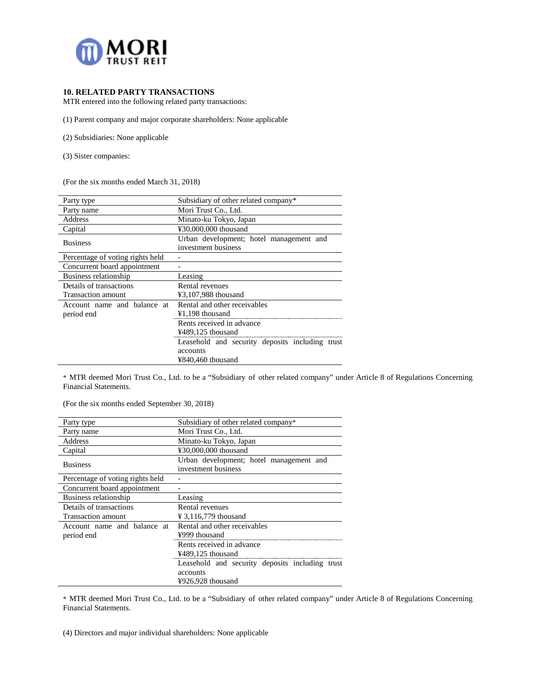

## **10. RELATED PARTY TRANSACTIONS**

MTR entered into the following related party transactions:

(1) Parent company and major corporate shareholders: None applicable

- (2) Subsidiaries: None applicable
- (3) Sister companies:

(For the six months ended March 31, 2018)

| Party type                       | Subsidiary of other related company*            |  |  |
|----------------------------------|-------------------------------------------------|--|--|
| Party name                       | Mori Trust Co., Ltd.                            |  |  |
| Address                          | Minato-ku Tokyo, Japan                          |  |  |
| Capital                          | ¥30,000,000 thousand                            |  |  |
| <b>Business</b>                  | Urban development; hotel management and         |  |  |
|                                  | investment business                             |  |  |
| Percentage of voting rights held |                                                 |  |  |
| Concurrent board appointment     |                                                 |  |  |
| Business relationship            | Leasing                                         |  |  |
| Details of transactions          | Rental revenues                                 |  |  |
| Transaction amount               | $43,107,988$ thousand                           |  |  |
| Account name and balance at      | Rental and other receivables                    |  |  |
| period end                       | ¥1,198 thousand                                 |  |  |
|                                  | Rents received in advance                       |  |  |
|                                  | ¥489,125 thousand                               |  |  |
|                                  | Leasehold and security deposits including trust |  |  |
|                                  | accounts                                        |  |  |
|                                  | ¥840,460 thousand                               |  |  |

\* MTR deemed Mori Trust Co., Ltd. to be a "Subsidiary of other related company" under Article 8 of Regulations Concerning Financial Statements.

(For the six months ended September 30, 2018)

| Party type                       | Subsidiary of other related company*                           |  |  |
|----------------------------------|----------------------------------------------------------------|--|--|
| Party name                       | Mori Trust Co., Ltd.                                           |  |  |
| Address                          | Minato-ku Tokyo, Japan                                         |  |  |
| Capital                          | ¥30,000,000 thousand                                           |  |  |
| <b>Business</b>                  | Urban development; hotel management and<br>investment business |  |  |
| Percentage of voting rights held |                                                                |  |  |
| Concurrent board appointment     |                                                                |  |  |
| Business relationship            | Leasing                                                        |  |  |
| Details of transactions          | Rental revenues                                                |  |  |
| Transaction amount               | $\textnormal{\textbf{4}}\,3.116,779$ thousand                  |  |  |
| Account name and balance at      | Rental and other receivables                                   |  |  |
| period end                       | ¥999 thousand                                                  |  |  |
|                                  | Rents received in advance                                      |  |  |
|                                  | $4489,125$ thousand                                            |  |  |
|                                  | Leasehold and security deposits including trust                |  |  |
|                                  | accounts                                                       |  |  |
|                                  | ¥926,928 thousand                                              |  |  |

\* MTR deemed Mori Trust Co., Ltd. to be a "Subsidiary of other related company" under Article 8 of Regulations Concerning Financial Statements.

(4) Directors and major individual shareholders: None applicable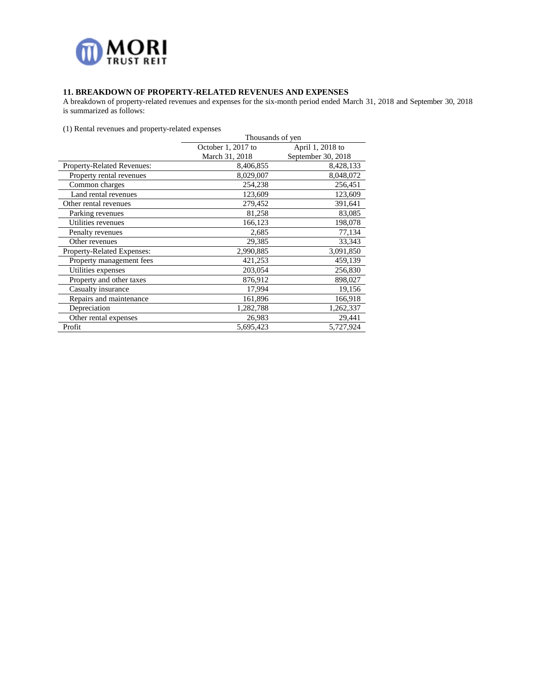

## **11. BREAKDOWN OF PROPERTY-RELATED REVENUES AND EXPENSES**

A breakdown of property-related revenues and expenses for the six-month period ended March 31, 2018 and September 30, 2018 is summarized as follows:

(1) Rental revenues and property-related expenses

|                                   | Thousands of yen   |                    |  |
|-----------------------------------|--------------------|--------------------|--|
|                                   | October 1, 2017 to | April 1, 2018 to   |  |
|                                   | March 31, 2018     | September 30, 2018 |  |
| <b>Property-Related Revenues:</b> | 8,406,855          | 8,428,133          |  |
| Property rental revenues          | 8,029,007          | 8,048,072          |  |
| Common charges                    | 254,238            | 256,451            |  |
| Land rental revenues              | 123,609            | 123,609            |  |
| Other rental revenues             | 279,452            | 391,641            |  |
| Parking revenues                  | 81,258             | 83,085             |  |
| Utilities revenues                | 166,123            | 198,078            |  |
| Penalty revenues                  | 2,685              | 77,134             |  |
| Other revenues                    | 29,385             | 33,343             |  |
| <b>Property-Related Expenses:</b> | 2,990,885          | 3,091,850          |  |
| Property management fees          | 421,253            | 459,139            |  |
| Utilities expenses                | 203,054            | 256,830            |  |
| Property and other taxes          | 876,912            | 898,027            |  |
| Casualty insurance                | 17,994             | 19,156             |  |
| Repairs and maintenance           | 161,896            | 166,918            |  |
| Depreciation                      | 1,282,788          | 1,262,337          |  |
| Other rental expenses             | 26,983             | 29,441             |  |
| Profit                            | 5,695,423          | 5,727,924          |  |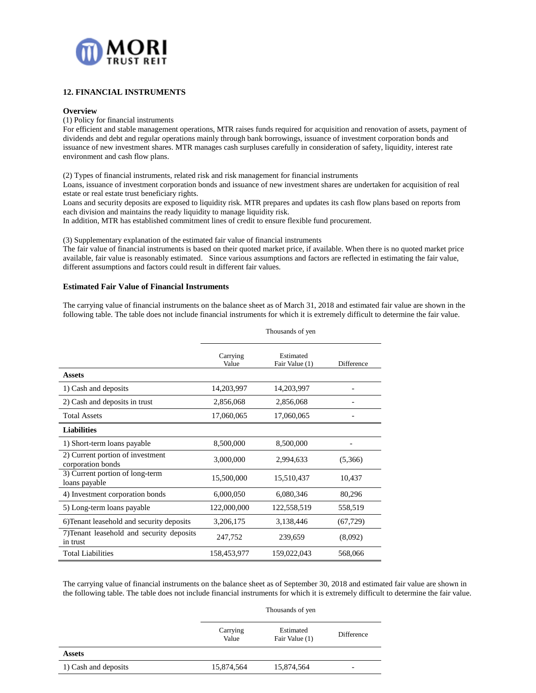

## **12. FINANCIAL INSTRUMENTS**

### **Overview**

(1) Policy for financial instruments

For efficient and stable management operations, MTR raises funds required for acquisition and renovation of assets, payment of dividends and debt and regular operations mainly through bank borrowings, issuance of investment corporation bonds and issuance of new investment shares. MTR manages cash surpluses carefully in consideration of safety, liquidity, interest rate environment and cash flow plans.

(2) Types of financial instruments, related risk and risk management for financial instruments

Loans, issuance of investment corporation bonds and issuance of new investment shares are undertaken for acquisition of real estate or real estate trust beneficiary rights.

Loans and security deposits are exposed to liquidity risk. MTR prepares and updates its cash flow plans based on reports from each division and maintains the ready liquidity to manage liquidity risk.

In addition, MTR has established commitment lines of credit to ensure flexible fund procurement.

(3) Supplementary explanation of the estimated fair value of financial instruments

The fair value of financial instruments is based on their quoted market price, if available. When there is no quoted market price available, fair value is reasonably estimated. Since various assumptions and factors are reflected in estimating the fair value, different assumptions and factors could result in different fair values.

## **Estimated Fair Value of Financial Instruments**

The carrying value of financial instruments on the balance sheet as of March 31, 2018 and estimated fair value are shown in the following table. The table does not include financial instruments for which it is extremely difficult to determine the fair value.

|                                                       | Carrying<br>Value | Estimated<br>Fair Value (1) | Difference |
|-------------------------------------------------------|-------------------|-----------------------------|------------|
| <b>Assets</b>                                         |                   |                             |            |
| 1) Cash and deposits                                  | 14,203,997        | 14,203,997                  |            |
| 2) Cash and deposits in trust                         | 2,856,068         | 2,856,068                   |            |
| <b>Total Assets</b>                                   | 17,060,065        | 17,060,065                  |            |
| <b>Liabilities</b>                                    |                   |                             |            |
| 1) Short-term loans payable                           | 8,500,000         | 8,500,000                   |            |
| 2) Current portion of investment<br>corporation bonds | 3,000,000         | 2,994,633                   | (5,366)    |
| 3) Current portion of long-term<br>loans payable      | 15,500,000        | 15,510,437                  | 10,437     |
| 4) Investment corporation bonds                       | 6,000,050         | 6,080,346                   | 80,296     |
| 5) Long-term loans payable                            | 122,000,000       | 122,558,519                 | 558,519    |
| 6) Tenant leasehold and security deposits             | 3,206,175         | 3,138,446                   | (67, 729)  |
| 7) Tenant leasehold and security deposits<br>in trust | 247,752           | 239,659                     | (8,092)    |
| <b>Total Liabilities</b>                              | 158,453,977       | 159,022,043                 | 568,066    |

Thousands of yen

The carrying value of financial instruments on the balance sheet as of September 30, 2018 and estimated fair value are shown in the following table. The table does not include financial instruments for which it is extremely difficult to determine the fair value.

Thousands of yen

|                      | Carrying<br>Value | Estimated<br>Fair Value (1) | Difference               |
|----------------------|-------------------|-----------------------------|--------------------------|
| <b>Assets</b>        |                   |                             |                          |
| 1) Cash and deposits | 15,874,564        | 15,874,564                  | $\overline{\phantom{0}}$ |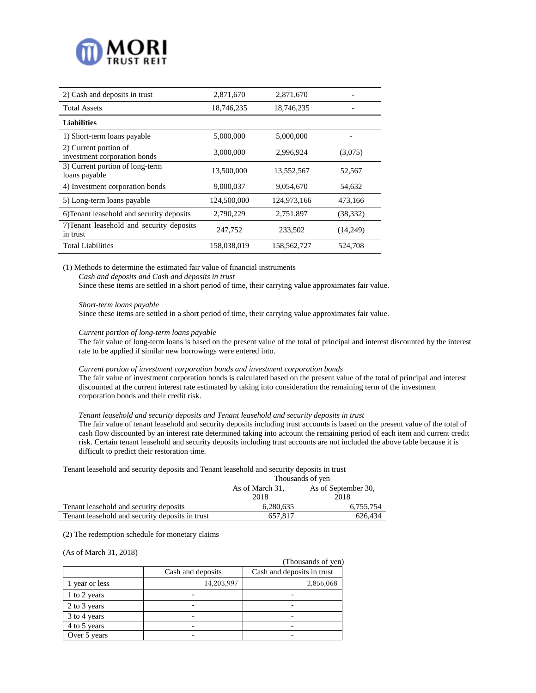

| 2) Cash and deposits in trust                         | 2,871,670   | 2,871,670   |           |
|-------------------------------------------------------|-------------|-------------|-----------|
| <b>Total Assets</b>                                   | 18,746,235  | 18,746,235  |           |
| <b>Liabilities</b>                                    |             |             |           |
| 1) Short-term loans payable                           | 5,000,000   | 5,000,000   |           |
| 2) Current portion of<br>investment corporation bonds | 3,000,000   | 2,996,924   | (3,075)   |
| 3) Current portion of long-term<br>loans payable      | 13,500,000  | 13,552,567  | 52,567    |
| 4) Investment corporation bonds                       | 9,000,037   | 9,054,670   | 54,632    |
| 5) Long-term loans payable                            | 124,500,000 | 124,973,166 | 473,166   |
| 6) Tenant leasehold and security deposits             | 2,790,229   | 2,751,897   | (38, 332) |
| 7) Tenant leasehold and security deposits<br>in trust | 247,752     | 233,502     | (14,249)  |
| <b>Total Liabilities</b>                              | 158,038,019 | 158,562,727 | 524,708   |

(1) Methods to determine the estimated fair value of financial instruments

*Cash and deposits and Cash and deposits in trust*

Since these items are settled in a short period of time, their carrying value approximates fair value.

*Short-term loans payable*

Since these items are settled in a short period of time, their carrying value approximates fair value.

### *Current portion of long-term loans payable*

The fair value of long-term loans is based on the present value of the total of principal and interest discounted by the interest rate to be applied if similar new borrowings were entered into.

#### *Current portion of investment corporation bonds and investment corporation bonds*

The fair value of investment corporation bonds is calculated based on the present value of the total of principal and interest discounted at the current interest rate estimated by taking into consideration the remaining term of the investment corporation bonds and their credit risk.

#### *Tenant leasehold and security deposits and Tenant leasehold and security deposits in trust*

The fair value of tenant leasehold and security deposits including trust accounts is based on the present value of the total of cash flow discounted by an interest rate determined taking into account the remaining period of each item and current credit risk. Certain tenant leasehold and security deposits including trust accounts are not included the above table because it is difficult to predict their restoration time.

Tenant leasehold and security deposits and Tenant leasehold and security deposits in trust

|                                                 | Thousands of yen |                     |  |
|-------------------------------------------------|------------------|---------------------|--|
|                                                 | As of March 31,  | As of September 30, |  |
|                                                 | 2018             | 2018                |  |
| Tenant leasehold and security deposits          | 6.280.635        | 6,755,754           |  |
| Tenant leasehold and security deposits in trust | 657.817          | 626,434             |  |

#### (2) The redemption schedule for monetary claims

#### (As of March 31, 2018)

|                |                   | (Thousands of yen)         |
|----------------|-------------------|----------------------------|
|                | Cash and deposits | Cash and deposits in trust |
| 1 year or less | 14,203,997        | 2,856,068                  |
| 1 to 2 years   |                   |                            |
| 2 to 3 years   |                   |                            |
| 3 to 4 years   |                   |                            |
| 4 to 5 years   |                   |                            |
| Over 5 years   |                   |                            |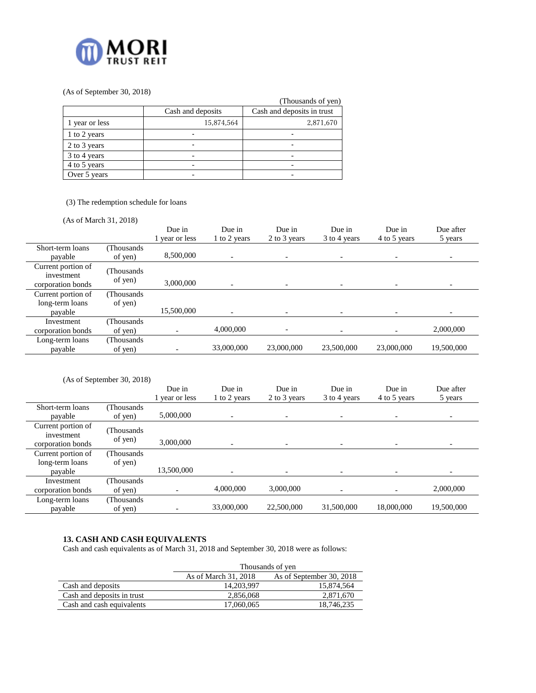

## (As of September 30, 2018)

|                |                   | (Thousands of yen)         |
|----------------|-------------------|----------------------------|
|                | Cash and deposits | Cash and deposits in trust |
| 1 year or less | 15,874,564        | 2,871,670                  |
| 1 to 2 years   |                   |                            |
| 2 to 3 years   |                   |                            |
| 3 to 4 years   |                   |                            |
| 4 to 5 years   |                   |                            |
| Over 5 years   |                   |                            |

# (3) The redemption schedule for loans

(As of March 31, 2018)

|                                                       |                       | Due in<br>1 year or less | Due in<br>1 to 2 years | Due in<br>2 to 3 years   | Due in<br>3 to 4 years | Due in<br>4 to 5 years   | Due after<br>5 years |
|-------------------------------------------------------|-----------------------|--------------------------|------------------------|--------------------------|------------------------|--------------------------|----------------------|
| Short-term loans<br>payable                           | (Thousands<br>of yen) | 8,500,000                |                        |                          |                        |                          |                      |
| Current portion of<br>investment<br>corporation bonds | (Thousands<br>of yen) | 3,000,000                |                        | $\overline{\phantom{0}}$ |                        | $\overline{\phantom{0}}$ |                      |
| Current portion of<br>long-term loans<br>payable      | (Thousands<br>of yen) | 15.500.000               |                        |                          |                        |                          |                      |
| Investment<br>corporation bonds                       | (Thousands<br>of yen) | $\overline{\phantom{0}}$ | 4,000,000              |                          |                        |                          | 2,000,000            |
| Long-term loans<br>payable                            | (Thousands<br>of yen) |                          | 33,000,000             | 23,000,000               | 23,500,000             | 23,000,000               | 19,500,000           |

|                    | (As of September 30, 2018) |                |                          |                          |                          |                          |            |
|--------------------|----------------------------|----------------|--------------------------|--------------------------|--------------------------|--------------------------|------------|
|                    |                            | Due in         | Due in                   | Due in                   | Due in                   | Due in                   | Due after  |
|                    |                            | 1 year or less | 1 to 2 years             | 2 to 3 years             | 3 to 4 years             | 4 to 5 years             | 5 years    |
| Short-term loans   | (Thousands                 |                |                          |                          |                          |                          |            |
| payable            | of yen)                    | 5,000,000      | $\overline{\phantom{0}}$ | $\overline{\phantom{a}}$ | $\overline{\phantom{a}}$ | $\overline{\phantom{a}}$ |            |
| Current portion of | (Thousands                 |                |                          |                          |                          |                          |            |
| investment         | of yen)                    |                |                          |                          |                          |                          |            |
| corporation bonds  |                            | 3,000,000      |                          |                          |                          |                          |            |
| Current portion of | (Thousands                 |                |                          |                          |                          |                          |            |
| long-term loans    | of yen)                    |                |                          |                          |                          |                          |            |
| payable            |                            | 13,500,000     |                          |                          |                          |                          |            |
| Investment         | Thousands                  |                |                          |                          |                          |                          |            |
| corporation bonds  | of yen)                    |                | 4,000,000                | 3,000,000                |                          |                          | 2,000,000  |
| Long-term loans    | (Thousands)                |                |                          |                          |                          |                          |            |
| payable            | of yen)                    |                | 33,000,000               | 22,500,000               | 31,500,000               | 18,000,000               | 19,500,000 |

# **13. CASH AND CASH EQUIVALENTS**

Cash and cash equivalents as of March 31, 2018 and September 30, 2018 were as follows:

|                            | Thousands of yen                                 |            |  |  |  |
|----------------------------|--------------------------------------------------|------------|--|--|--|
|                            | As of September 30, 2018<br>As of March 31, 2018 |            |  |  |  |
| Cash and deposits          | 14.203.997                                       | 15.874.564 |  |  |  |
| Cash and deposits in trust | 2,856,068                                        | 2,871,670  |  |  |  |
| Cash and cash equivalents  | 17,060,065                                       | 18.746.235 |  |  |  |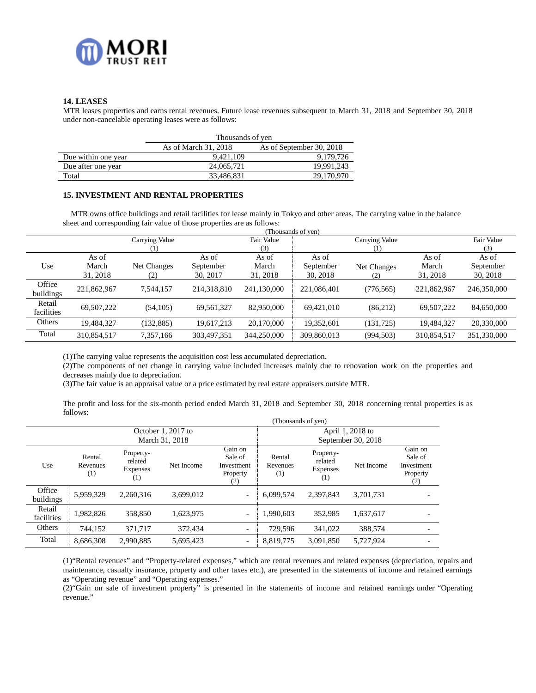

# **14. LEASES**

MTR leases properties and earns rental revenues. Future lease revenues subsequent to March 31, 2018 and September 30, 2018 under non-cancelable operating leases were as follows:

|                     | Thousands of yen         |            |  |  |  |
|---------------------|--------------------------|------------|--|--|--|
|                     | As of September 30, 2018 |            |  |  |  |
| Due within one year | 9.421.109                | 9,179,726  |  |  |  |
| Due after one year  | 24,065,721               | 19,991,243 |  |  |  |
| Total               | 33,486,831               | 29,170,970 |  |  |  |

## **15. INVESTMENT AND RENTAL PROPERTIES**

MTR owns office buildings and retail facilities for lease mainly in Tokyo and other areas. The carrying value in the balance sheet and corresponding fair value of those properties are as follows:

|                      |             |                |             |             | (Thousands of yen) |                |             |             |
|----------------------|-------------|----------------|-------------|-------------|--------------------|----------------|-------------|-------------|
|                      |             | Carrying Value |             | Fair Value  |                    | Carrying Value |             | Fair Value  |
|                      |             | (1)            |             | (3)         |                    | (1)            |             | (3)         |
|                      | As of       |                | As of       | As of       | As of              |                | As of       | As of       |
| Use                  | March       | Net Changes    | September   | March       | September          | Net Changes    | March       | September   |
|                      | 31, 2018    | (2)            | 30, 2017    | 31, 2018    | 30, 2018           | (2)            | 31, 2018    | 30, 2018    |
| Office<br>buildings  | 221,862,967 | 7.544.157      | 214,318,810 | 241,130,000 | 221,086,401        | (776, 565)     | 221,862,967 | 246,350,000 |
| Retail<br>facilities | 69,507,222  | (54, 105)      | 69,561,327  | 82,950,000  | 69,421,010         | (86,212)       | 69,507,222  | 84,650,000  |
| Others               | 19,484,327  | (132, 885)     | 19,617,213  | 20,170,000  | 19,352,601         | (131, 725)     | 19,484,327  | 20,330,000  |
| Total                | 310,854,517 | 7,357,166      | 303,497,351 | 344,250,000 | 309,860,013        | (994, 503)     | 310,854,517 | 351,330,000 |

(1)The carrying value represents the acquisition cost less accumulated depreciation.

(2)The components of net change in carrying value included increases mainly due to renovation work on the properties and decreases mainly due to depreciation.

(3)The fair value is an appraisal value or a price estimated by real estate appraisers outside MTR.

The profit and loss for the six-month period ended March 31, 2018 and September 30, 2018 concerning rental properties is as follows:

|                      |                                      | (Thousands of yen)                      |            |                                                     |                           |                                                |                                        |                                                     |  |
|----------------------|--------------------------------------|-----------------------------------------|------------|-----------------------------------------------------|---------------------------|------------------------------------------------|----------------------------------------|-----------------------------------------------------|--|
|                      | October 1, 2017 to<br>March 31, 2018 |                                         |            |                                                     |                           |                                                | April 1, 2018 to<br>September 30, 2018 |                                                     |  |
| Use                  | Rental<br>Revenues<br>(1)            | Property-<br>related<br>Expenses<br>(1) | Net Income | Gain on<br>Sale of<br>Investment<br>Property<br>(2) | Rental<br>Revenues<br>(1) | Property-<br>related<br><b>Expenses</b><br>(1) | Net Income                             | Gain on<br>Sale of<br>Investment<br>Property<br>(2) |  |
| Office<br>buildings  | 5,959,329                            | 2.260.316                               | 3.699.012  | $\overline{\phantom{a}}$                            | 6,099,574                 | 2.397.843                                      | 3.701.731                              |                                                     |  |
| Retail<br>facilities | 1.982.826                            | 358,850                                 | 1.623.975  | $\overline{\phantom{a}}$                            | 1.990.603                 | 352.985                                        | 1,637,617                              |                                                     |  |
| Others               | 744.152                              | 371.717                                 | 372,434    | $\overline{\phantom{a}}$                            | 729,596                   | 341,022                                        | 388,574                                |                                                     |  |
| Total                | 8,686,308                            | 2.990.885                               | 5,695,423  | $\overline{\phantom{a}}$                            | 8,819,775                 | 3,091,850                                      | 5,727,924                              |                                                     |  |

(1)"Rental revenues" and "Property-related expenses," which are rental revenues and related expenses (depreciation, repairs and maintenance, casualty insurance, property and other taxes etc.), are presented in the statements of income and retained earnings as "Operating revenue" and "Operating expenses."

(2)"Gain on sale of investment property" is presented in the statements of income and retained earnings under "Operating revenue."